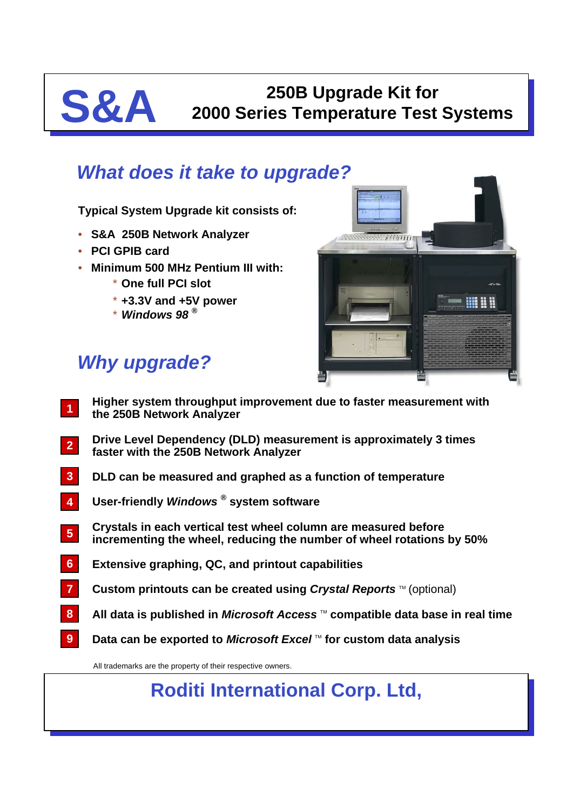# **S&A 250B Upgrade Kit for 2000 Series Temperature Test Systems**

#### *What does it take to upgrade?*

**Typical System Upgrade kit consists of:**

- **S&A 250B Network Analyzer**
- **PCI GPIB card**
- **Minimum 500 MHz Pentium III with:**
	- \* **One full PCI slot**
	- \* **+3.3V and +5V power**
	- \* *Windows 98 ®*

### *Why upgrade?*



- **Higher system throughput improvement due to faster measurement with the 250B Network Analyzer 1**
- **Drive Level Dependency (DLD) measurement is approximately 3 times faster with the 250B Network Analyzer 2**
- **DLD can be measured and graphed as a function of temperature 3**
- **User-friendly** *Windows ®* **system software 4**
- **Crystals in each vertical test wheel column are measured before incrementing the wheel, reducing the number of wheel rotations by 50% 5**
- **Extensive graphing, QC, and printout capabilities 6**
- **Custom printouts can be created using** *Crystal Reports* **™ (optional) 7**
- **All data is published in** *Microsoft Access* TM **compatible data base in real time 8**
- **Data can be exported to** *Microsoft Excel* **™ for custom data analysis 9**

All trademarks are the property of their respective owners.

## **Roditi International Corp. Ltd,**